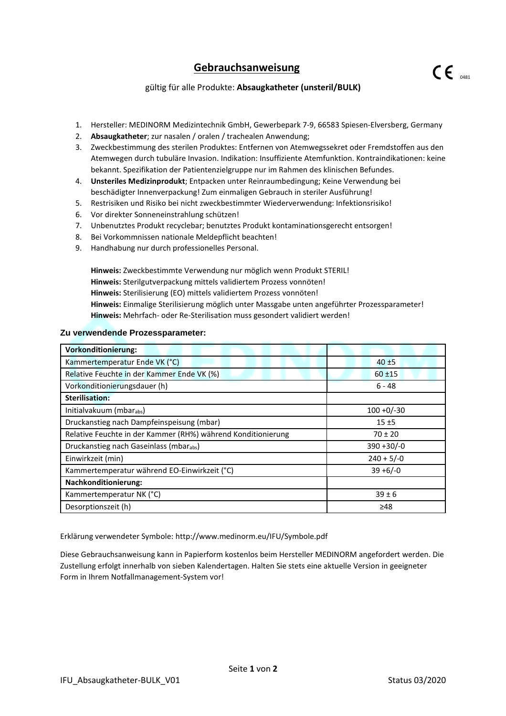## **Gebrauchsanweisung**

- 1. Hersteller: MEDINORM Medizintechnik GmbH, Gewerbepark 7-9, 66583 Spiesen-Elversberg, Germany
- 2. **Absaugkatheter**; zur nasalen / oralen / trachealen Anwendung;
- 3. Zweckbestimmung des sterilen Produktes: Entfernen von Atemwegssekret oder Fremdstoffen aus den Atemwegen durch tubuläre Invasion. Indikation: Insuffiziente Atemfunktion. Kontraindikationen: keine bekannt. Spezifikation der Patientenzielgruppe nur im Rahmen des klinischen Befundes.
- 4. **Unsteriles Medizinprodukt**; Entpacken unter Reinraumbedingung; Keine Verwendung bei beschädigter Innenverpackung! Zum einmaligen Gebrauch in steriler Ausführung!
- 5. Restrisiken und Risiko bei nicht zweckbestimmter Wiederverwendung: Infektionsrisiko!
- 6. Vor direkter Sonneneinstrahlung schützen!
- 7. Unbenutztes Produkt recyclebar; benutztes Produkt kontaminationsgerecht entsorgen!
- 8. Bei Vorkommnissen nationale Meldepflicht beachten!
- 9. Handhabung nur durch professionelles Personal.

**Hinweis:** Zweckbestimmte Verwendung nur möglich wenn Produkt STERIL! **Hinweis:** Sterilgutverpackung mittels validiertem Prozess vonnöten! **Hinweis:** Sterilisierung (EO) mittels validiertem Prozess vonnöten! **Hinweis:** Einmalige Sterilisierung möglich unter Massgabe unten angeführter Prozessparameter! **Hinweis:** Mehrfach- oder Re-Sterilisation muss gesondert validiert werden!

#### **Zu verwendende Prozessparameter:**

| <b>Vorkonditionierung:</b>                                   |               |
|--------------------------------------------------------------|---------------|
| Kammertemperatur Ende VK (°C)                                | $40 + 5$      |
| Relative Feuchte in der Kammer Ende VK (%)                   | $60 + 15$     |
| Vorkonditionierungsdauer (h)                                 | 6 - 48        |
| <b>Sterilisation:</b>                                        |               |
| Initialvakuum (mbarabs)                                      | $100 + 0/-30$ |
| Druckanstieg nach Dampfeinspeisung (mbar)                    | $15 + 5$      |
| Relative Feuchte in der Kammer (RH%) während Konditionierung | $70 \pm 20$   |
| Druckanstieg nach Gaseinlass (mbarabs)                       | $390 + 30/-0$ |
| Einwirkzeit (min)                                            | $240 + 5/-0$  |
| Kammertemperatur während EO-Einwirkzeit (°C)                 | $39 + 6/-0$   |
| <b>Nachkonditionierung:</b>                                  |               |
| Kammertemperatur NK (°C)                                     | $39 \pm 6$    |
| Desorptionszeit (h)                                          | ≥48           |

Erklärung verwendeter Symbole: http://www.medinorm.eu/IFU/Symbole.pdf

Diese Gebrauchsanweisung kann in Papierform kostenlos beim Hersteller MEDINORM angefordert werden. Die Zustellung erfolgt innerhalb von sieben Kalendertagen. Halten Sie stets eine aktuelle Version in geeigneter Form in Ihrem Notfallmanagement-System vor!